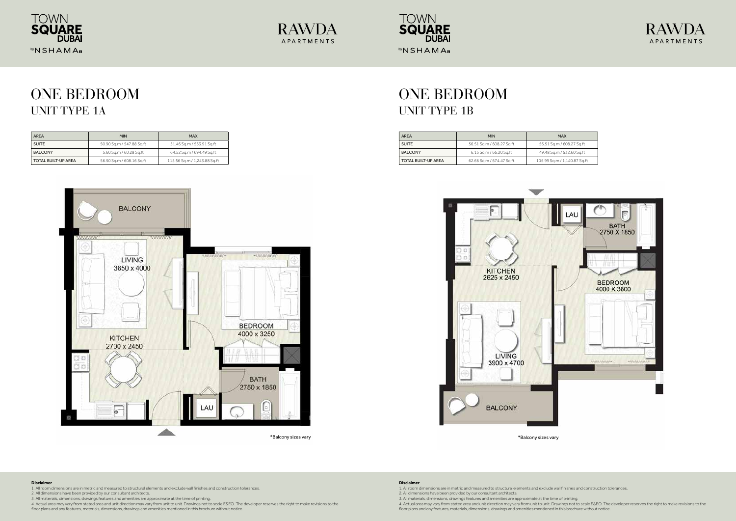#### **Disclaimer**

- 1. All room dimensions are in metric and measured to structural elements and exclude wall finishes and construction tolerances.
- 2. All dimensions have been provided by our consultant architects.
- 3. All materials, dimensions, drawings features and amenities are approximate at the time of printing.
- 4. Actual area may vary from stated area and unit direction may vary from unit to unit. Drawings not to scale E&EO. The developer reserves the right to make revisions to the
- floor plans and any features, materials, dimensions, drawings and amenities mentioned in this brochure without notice.

3. All materials, dimensions, drawings features and amenities are approximate at the time of printing. 4. Actual area may vary from stated area and unit direction may vary from unit to unit. Drawings not to scale E&EO. The developer reserves the right to make revisions to the floor plans and any features, materials, dimensions, drawings and amenities mentioned in this brochure without notice.



#### **Disclaimer**

1. All room dimensions are in metric and measured to structural elements and exclude wall finishes and construction tolerances. 2. All dimensions have been provided by our consultant architects.







## ONE BEDROOM UNIT TYPE 1A

# ONE BEDROOM UNIT TYPE 1B

| <b>AREA</b>                | <b>MIN</b>                | <b>MAX</b>                   |
|----------------------------|---------------------------|------------------------------|
| <b>SUITE</b>               | 50.90 Sq.m / 547.88 Sq.ft | 51.46 Sq.m / 553.91 Sq.ft    |
| <b>BALCONY</b>             | 5.60 Sq.m / 60.28 Sq.ft   | 64.52 Sq.m / 694.49 Sq.ft    |
| <b>TOTAL BUILT-UP AREA</b> | 56.50 Sq.m / 608.16 Sq.ft | 115.56 Sq.m / 1,243.88 Sq.ft |



| <b>AREA</b>         | <b>MIN</b>                | <b>MAX</b>                   |
|---------------------|---------------------------|------------------------------|
| <b>SUITE</b>        | 56.51 Sq.m / 608.27 Sq.ft | 56.51 Sq.m / 608.27 Sq.ft    |
| <b>BALCONY</b>      | 6.15 Sq.m / 66.20 Sq.ft   | 49.48 Sq.m / 532.60 Sq.ft    |
| TOTAL BUILT-UP AREA | 62.66 Sq.m / 674.47 Sq.ft | 105.99 Sq.m / 1,140.87 Sq.ft |



\*Balcony sizes vary \*Balcony sizes vary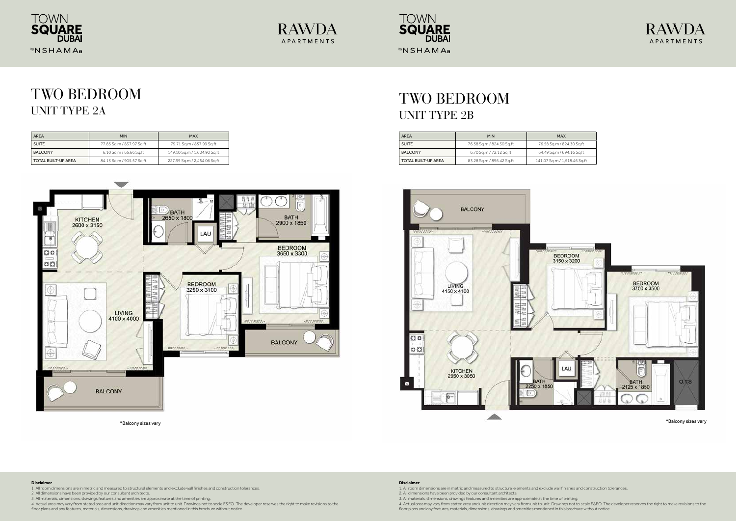### **Disclaimer**

- 1. All room dimensions are in metric and measured to structural elements and exclude wall finishes and construction tolerances.
- 2. All dimensions have been provided by our consultant architects.
- 3. All materials, dimensions, drawings features and amenities are approximate at the time of printing.
- 4. Actual area may vary from stated area and unit direction may vary from unit to unit. Drawings not to scale E&EO. The developer reserves the right to make revisions to the
- floor plans and any features, materials, dimensions, drawings and amenities mentioned in this brochure without notice.

3. All materials, dimensions, drawings features and amenities are approximate at the time of printing. 4. Actual area may vary from stated area and unit direction may vary from unit to unit. Drawings not to scale E&EO. The developer reserves the right to make revisions to the floor plans and any features, materials, dimensions, drawings and amenities mentioned in this brochure without notice.



### **Disclaimer**

1. All room dimensions are in metric and measured to structural elements and exclude wall finishes and construction tolerances. 2. All dimensions have been provided by our consultant architects.







## TWO BEDROOM UNIT TYPE 2A

### TWO BEDROOM UNIT TYPE 2B



| <b>AREA</b>         | <b>MIN</b>                | <b>MAX</b>                   |
|---------------------|---------------------------|------------------------------|
| <b>SUITE</b>        | 77.85 Sq.m / 837.97 Sq.ft | 79.71 Sq.m / 857.99 Sq.ft    |
| <b>BALCONY</b>      | 6.10 Sq.m / 65.66 Sq.ft   | 149.10 Sq.m / 1,604.90 Sq.ft |
| TOTAL BUILT-UP AREA | 84.13 Sq.m / 905.57 Sq.ft | 227.99 Sq.m / 2,454.06 Sq.ft |

| <b>AREA</b>         | <b>MIN</b>                | <b>MAX</b>                   |
|---------------------|---------------------------|------------------------------|
| <b>SUITE</b>        | 76.58 Sq.m / 824.30 Sq.ft | 76.58 Sq.m / 824.30 Sq.ft    |
| <b>BALCONY</b>      | 6.70 Sq.m / 72.12 Sq.ft   | 64.49 Sq.m / 694.16 Sq.ft    |
| TOTAL BUILT-UP AREA | 83.28 Sq.m / 896.42 Sq.ft | 141.07 Sq.m / 1,518.46 Sq.ft |